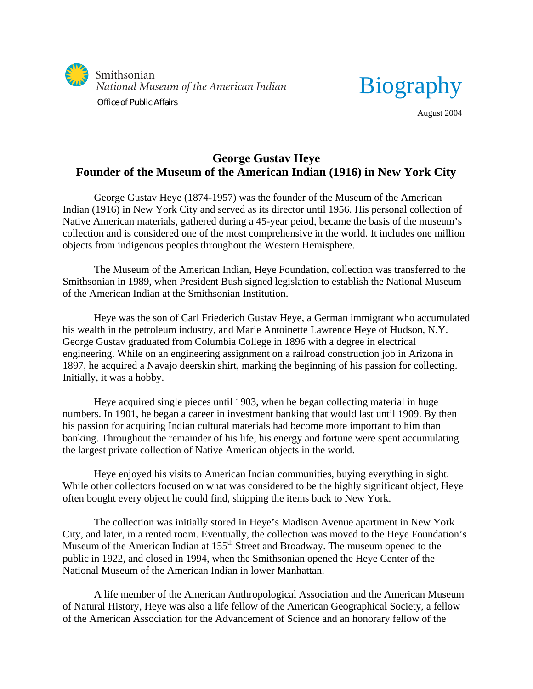



August 2004

## **George Gustav Heye Founder of the Museum of the American Indian (1916) in New York City**

George Gustav Heye (1874-1957) was the founder of the Museum of the American Indian (1916) in New York City and served as its director until 1956. His personal collection of Native American materials, gathered during a 45-year peiod, became the basis of the museum's collection and is considered one of the most comprehensive in the world. It includes one million objects from indigenous peoples throughout the Western Hemisphere.

The Museum of the American Indian, Heye Foundation, collection was transferred to the Smithsonian in 1989, when President Bush signed legislation to establish the National Museum of the American Indian at the Smithsonian Institution.

Heye was the son of Carl Friederich Gustav Heye, a German immigrant who accumulated his wealth in the petroleum industry, and Marie Antoinette Lawrence Heye of Hudson, N.Y. George Gustav graduated from Columbia College in 1896 with a degree in electrical engineering. While on an engineering assignment on a railroad construction job in Arizona in 1897, he acquired a Navajo deerskin shirt, marking the beginning of his passion for collecting. Initially, it was a hobby.

Heye acquired single pieces until 1903, when he began collecting material in huge numbers. In 1901, he began a career in investment banking that would last until 1909. By then his passion for acquiring Indian cultural materials had become more important to him than banking. Throughout the remainder of his life, his energy and fortune were spent accumulating the largest private collection of Native American objects in the world.

Heye enjoyed his visits to American Indian communities, buying everything in sight. While other collectors focused on what was considered to be the highly significant object, Heye often bought every object he could find, shipping the items back to New York.

The collection was initially stored in Heye's Madison Avenue apartment in New York City, and later, in a rented room. Eventually, the collection was moved to the Heye Foundation's Museum of the American Indian at 155<sup>th</sup> Street and Broadway. The museum opened to the public in 1922, and closed in 1994, when the Smithsonian opened the Heye Center of the National Museum of the American Indian in lower Manhattan.

A life member of the American Anthropological Association and the American Museum of Natural History, Heye was also a life fellow of the American Geographical Society, a fellow of the American Association for the Advancement of Science and an honorary fellow of the